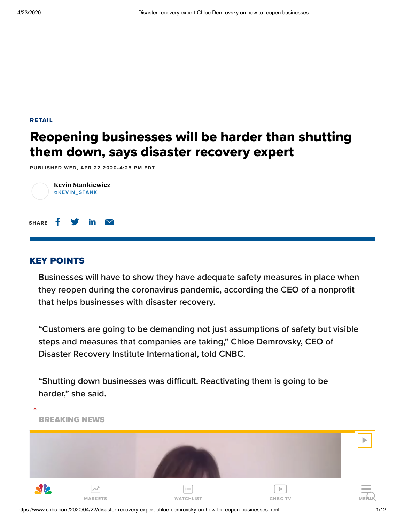[RETAIL](https://www.cnbc.com/retail/)

## Reopening businesses will be harder than shutting them down, says disaster recovery expert

PUBLISHED WED, APR 22 2020•4:25 PM EDT



## KEY POINTS

**Businesses will have to show they have adequate safety measures in place when they reopen during the coronavirus pandemic, according the CEO of a nonprofit that helps businesses with disaster recovery.** 

**"Customers are going to be demanding not just assumptions of safety but visible steps and measures that companies are taking," Chloe Demrovsky, CEO of Disaster Recovery Institute International, told CNBC.**

**"Shutting down businesses was difficult. Reactivating them is going to be harder," she said.** 



https://www.cnbc.com/2020/04/22/disaster-recovery-expert-chloe-demrovsky-on-how-to-reopen-businesses.html 1/12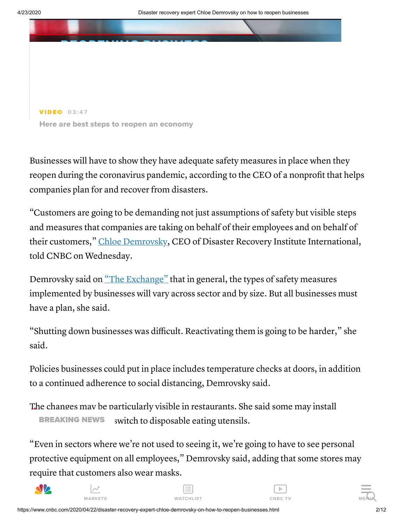

Here are best steps to reopen an economy

Businesses will have to show they have adequate safety measures in place when they reopen during the coronavirus pandemic, according to the CEO of a nonprofit that helps companies plan for and recover from disasters.

"Customers are going to be demanding not just assumptions of safety but visible steps and measures that companies are taking on behalf of their employees and on behalf of their customers," Chloe [Demrovsky,](https://drii.org/about/leadershipandstaff) CEO of Disaster Recovery Institute International, told CNBC on Wednesday.

Demrovsky said on "The [Exchange"](https://www.cnbc.com/the-exchange/) that in general, the types of safety measures implemented by businesses will vary across sector and by size. But all businesses must have a plan, she said.

"Shutting down businesses was difficult. Reactivating them is going to be harder," she said.

Policies businesses could put in place includes temperature checks at doors, in addition to a continued adherence to social distancing, Demrovsky said.

The changes may be particularly visible in restaurants. She said some may install switch to disposable eating utensils. BREAKING NEWS

"Even in sectors where we're not used to seeing it, we're going to have to see personal protective equipment on all employees," Demrovsky said, adding that some stores may require that customers also wear masks.



 $\overline{\mathcal{M}}$